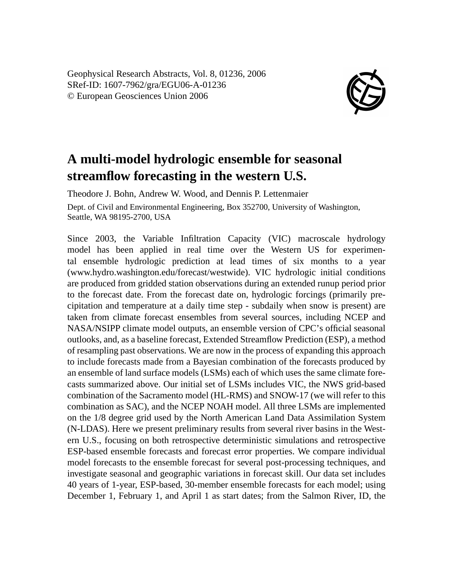Geophysical Research Abstracts, Vol. 8, 01236, 2006 SRef-ID: 1607-7962/gra/EGU06-A-01236 © European Geosciences Union 2006



## **A multi-model hydrologic ensemble for seasonal streamflow forecasting in the western U.S.**

Theodore J. Bohn, Andrew W. Wood, and Dennis P. Lettenmaier Dept. of Civil and Environmental Engineering, Box 352700, University of Washington, Seattle, WA 98195-2700, USA

Since 2003, the Variable Infiltration Capacity (VIC) macroscale hydrology model has been applied in real time over the Western US for experimental ensemble hydrologic prediction at lead times of six months to a year (www.hydro.washington.edu/forecast/westwide). VIC hydrologic initial conditions are produced from gridded station observations during an extended runup period prior to the forecast date. From the forecast date on, hydrologic forcings (primarily precipitation and temperature at a daily time step - subdaily when snow is present) are taken from climate forecast ensembles from several sources, including NCEP and NASA/NSIPP climate model outputs, an ensemble version of CPC's official seasonal outlooks, and, as a baseline forecast, Extended Streamflow Prediction (ESP), a method of resampling past observations. We are now in the process of expanding this approach to include forecasts made from a Bayesian combination of the forecasts produced by an ensemble of land surface models (LSMs) each of which uses the same climate forecasts summarized above. Our initial set of LSMs includes VIC, the NWS grid-based combination of the Sacramento model (HL-RMS) and SNOW-17 (we will refer to this combination as SAC), and the NCEP NOAH model. All three LSMs are implemented on the 1/8 degree grid used by the North American Land Data Assimilation System (N-LDAS). Here we present preliminary results from several river basins in the Western U.S., focusing on both retrospective deterministic simulations and retrospective ESP-based ensemble forecasts and forecast error properties. We compare individual model forecasts to the ensemble forecast for several post-processing techniques, and investigate seasonal and geographic variations in forecast skill. Our data set includes 40 years of 1-year, ESP-based, 30-member ensemble forecasts for each model; using December 1, February 1, and April 1 as start dates; from the Salmon River, ID, the